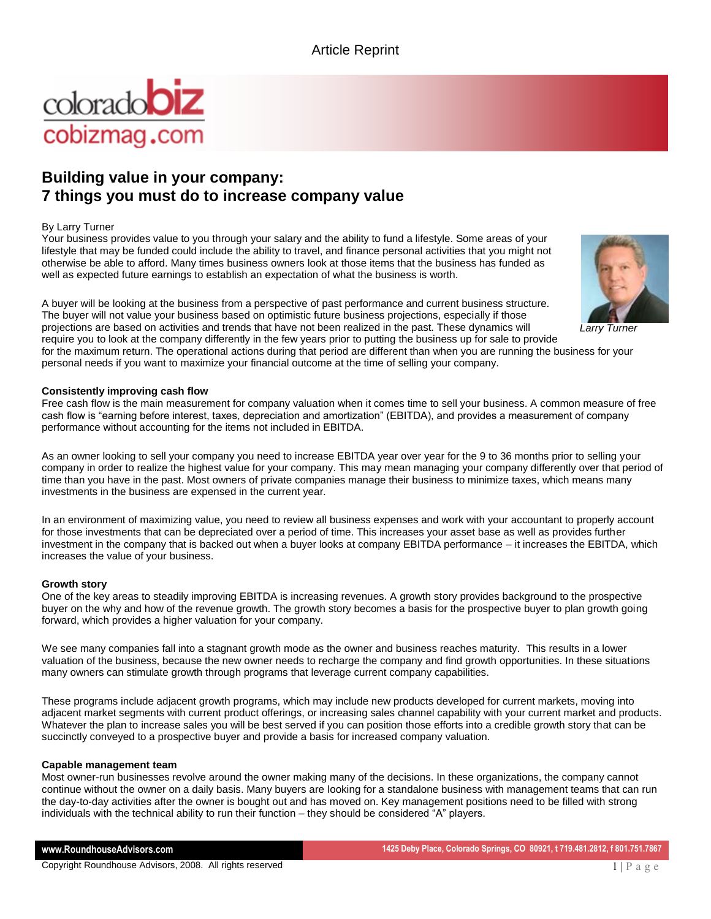

# **Building value in your company: 7 things you must do to increase company value**

## By Larry Turner

Your business provides value to you through your salary and the ability to fund a lifestyle. Some areas of your lifestyle that may be funded could include the ability to travel, and finance personal activities that you might not otherwise be able to afford. Many times business owners look at those items that the business has funded as well as expected future earnings to establish an expectation of what the business is worth.

A buyer will be looking at the business from a perspective of past performance and current business structure. The buyer will not value your business based on optimistic future business projections, especially if those projections are based on activities and trends that have not been realized in the past. These dynamics will require you to look at the company differently in the few years prior to putting the business up for sale to provide

for the maximum return. The operational actions during that period are different than when you are running the business for your personal needs if you want to maximize your financial outcome at the time of selling your company.

## **Consistently improving cash flow**

Free cash flow is the main measurement for company valuation when it comes time to sell your business. A common measure of free cash flow is "earning before interest, taxes, depreciation and amortization" (EBITDA), and provides a measurement of company performance without accounting for the items not included in EBITDA.

As an owner looking to sell your company you need to increase EBITDA year over year for the 9 to 36 months prior to selling your company in order to realize the highest value for your company. This may mean managing your company differently over that period of time than you have in the past. Most owners of private companies manage their business to minimize taxes, which means many investments in the business are expensed in the current year.

In an environment of maximizing value, you need to review all business expenses and work with your accountant to properly account for those investments that can be depreciated over a period of time. This increases your asset base as well as provides further investment in the company that is backed out when a buyer looks at company EBITDA performance – it increases the EBITDA, which increases the value of your business.

## **Growth story**

One of the key areas to steadily improving EBITDA is increasing revenues. A growth story provides background to the prospective buyer on the why and how of the revenue growth. The growth story becomes a basis for the prospective buyer to plan growth going forward, which provides a higher valuation for your company.

We see many companies fall into a stagnant growth mode as the owner and business reaches maturity. This results in a lower valuation of the business, because the new owner needs to recharge the company and find growth opportunities. In these situations many owners can stimulate growth through programs that leverage current company capabilities.

These programs include adjacent growth programs, which may include new products developed for current markets, moving into adjacent market segments with current product offerings, or increasing sales channel capability with your current market and products. Whatever the plan to increase sales you will be best served if you can position those efforts into a credible growth story that can be succinctly conveyed to a prospective buyer and provide a basis for increased company valuation.

#### **Capable management team**

Most owner-run businesses revolve around the owner making many of the decisions. In these organizations, the company cannot continue without the owner on a daily basis. Many buyers are looking for a standalone business with management teams that can run the day-to-day activities after the owner is bought out and has moved on. Key management positions need to be filled with strong individuals with the technical ability to run their function – they should be considered "A" players.